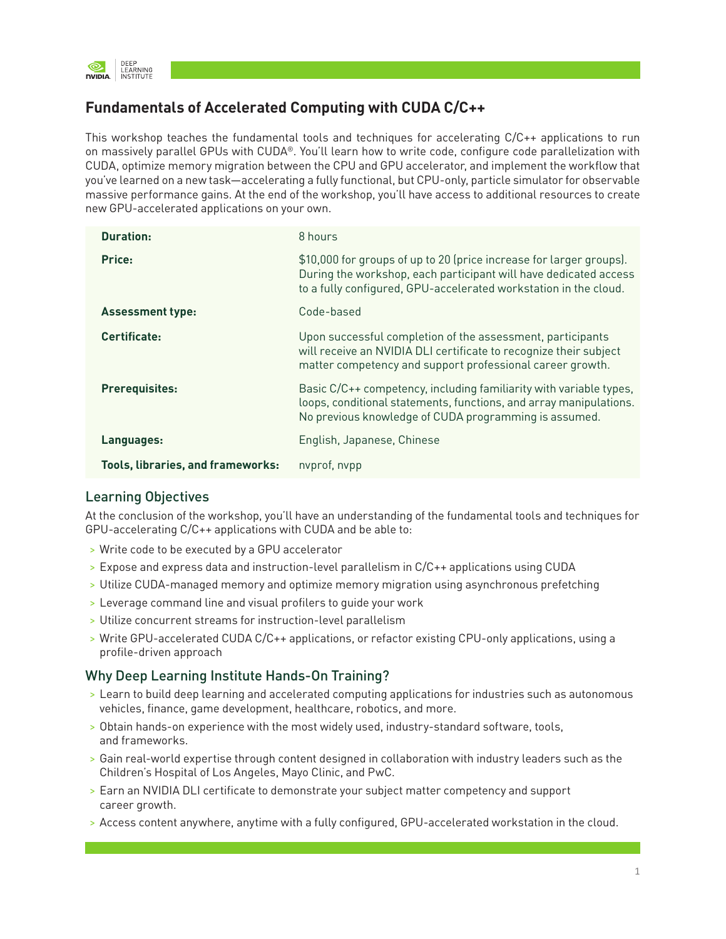

## **Fundamentals of Accelerated Computing with CUDA C/C++**

This workshop teaches the fundamental tools and techniques for accelerating C/C++ applications to run on massively parallel GPUs with CUDA®. You'll learn how to write code, configure code parallelization with CUDA, optimize memory migration between the CPU and GPU accelerator, and implement the workflow that you've learned on a new task—accelerating a fully functional, but CPU-only, particle simulator for observable massive performance gains. At the end of the workshop, you'll have access to additional resources to create new GPU-accelerated applications on your own.

| <b>Duration:</b>                         | 8 hours                                                                                                                                                                                                     |
|------------------------------------------|-------------------------------------------------------------------------------------------------------------------------------------------------------------------------------------------------------------|
| Price:                                   | \$10,000 for groups of up to 20 (price increase for larger groups).<br>During the workshop, each participant will have dedicated access<br>to a fully configured, GPU-accelerated workstation in the cloud. |
| <b>Assessment type:</b>                  | Code-based                                                                                                                                                                                                  |
| Certificate:                             | Upon successful completion of the assessment, participants<br>will receive an NVIDIA DLI certificate to recognize their subject<br>matter competency and support professional career growth.                |
| <b>Prerequisites:</b>                    | Basic C/C++ competency, including familiarity with variable types,<br>loops, conditional statements, functions, and array manipulations.<br>No previous knowledge of CUDA programming is assumed.           |
| Languages:                               | English, Japanese, Chinese                                                                                                                                                                                  |
| <b>Tools, libraries, and frameworks:</b> | nyprof, nypp                                                                                                                                                                                                |

## Learning Objectives

At the conclusion of the workshop, you'll have an understanding of the fundamental tools and techniques for GPU-accelerating C/C++ applications with CUDA and be able to:

- > Write code to be executed by a GPU accelerator
- > Expose and express data and instruction-level parallelism in C/C++ applications using CUDA
- > Utilize CUDA-managed memory and optimize memory migration using asynchronous prefetching
- > Leverage command line and visual profilers to guide your work
- > Utilize concurrent streams for instruction-level parallelism
- > Write GPU-accelerated CUDA C/C++ applications, or refactor existing CPU-only applications, using a profile-driven approach

## Why Deep Learning Institute Hands-On Training?

- > Learn to build deep learning and accelerated computing applications for industries such as autonomous vehicles, finance, game development, healthcare, robotics, and more.
- > Obtain hands-on experience with the most widely used, industry-standard software, tools, and frameworks.
- > Gain real-world expertise through content designed in collaboration with industry leaders such as the Children's Hospital of Los Angeles, Mayo Clinic, and PwC.
- > Earn an NVIDIA DLI certificate to demonstrate your subject matter competency and support career growth.
- > Access content anywhere, anytime with a fully configured, GPU-accelerated workstation in the cloud.